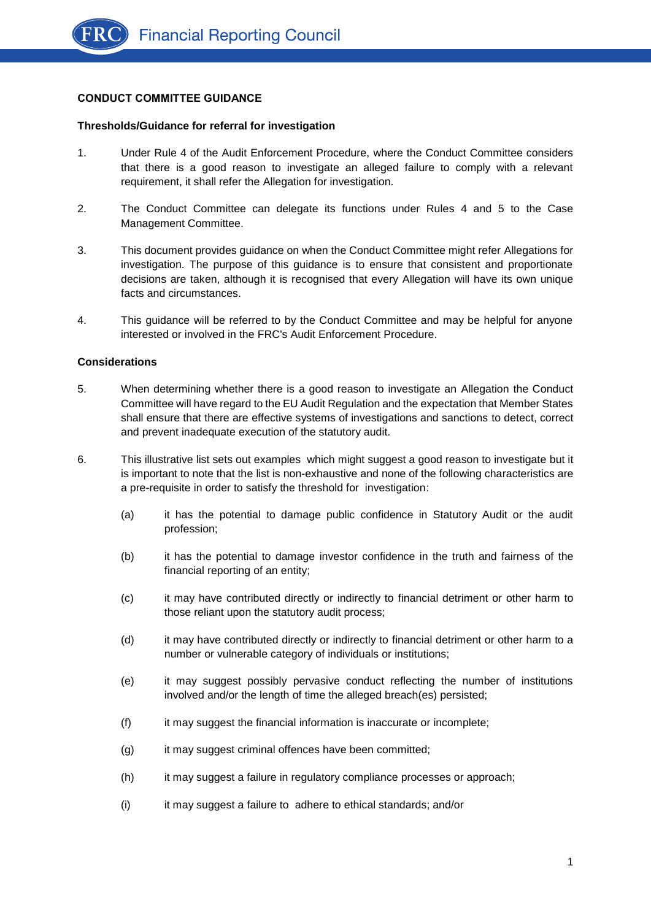# **CONDUCT COMMITTEE GUIDANCE**

### **Thresholds/Guidance for referral for investigation**

- 1. Under Rule 4 of the Audit Enforcement Procedure, where the Conduct Committee considers that there is a good reason to investigate an alleged failure to comply with a relevant requirement, it shall refer the Allegation for investigation.
- 2. The Conduct Committee can delegate its functions under Rules 4 and 5 to the Case Management Committee.
- 3. This document provides guidance on when the Conduct Committee might refer Allegations for investigation. The purpose of this guidance is to ensure that consistent and proportionate decisions are taken, although it is recognised that every Allegation will have its own unique facts and circumstances.
- 4. This guidance will be referred to by the Conduct Committee and may be helpful for anyone interested or involved in the FRC's Audit Enforcement Procedure.

### **Considerations**

- 5. When determining whether there is a good reason to investigate an Allegation the Conduct Committee will have regard to the EU Audit Regulation and the expectation that Member States shall ensure that there are effective systems of investigations and sanctions to detect, correct and prevent inadequate execution of the statutory audit.
- <span id="page-0-0"></span>6. This illustrative list sets out examples which might suggest a good reason to investigate but it is important to note that the list is non-exhaustive and none of the following characteristics are a pre-requisite in order to satisfy the threshold for investigation:
	- (a) it has the potential to damage public confidence in Statutory Audit or the audit profession;
	- (b) it has the potential to damage investor confidence in the truth and fairness of the financial reporting of an entity;
	- (c) it may have contributed directly or indirectly to financial detriment or other harm to those reliant upon the statutory audit process;
	- (d) it may have contributed directly or indirectly to financial detriment or other harm to a number or vulnerable category of individuals or institutions;
	- (e) it may suggest possibly pervasive conduct reflecting the number of institutions involved and/or the length of time the alleged breach(es) persisted;
	- (f) it may suggest the financial information is inaccurate or incomplete;
	- (g) it may suggest criminal offences have been committed;
	- (h) it may suggest a failure in regulatory compliance processes or approach;
	- (i) it may suggest a failure to adhere to ethical standards; and/or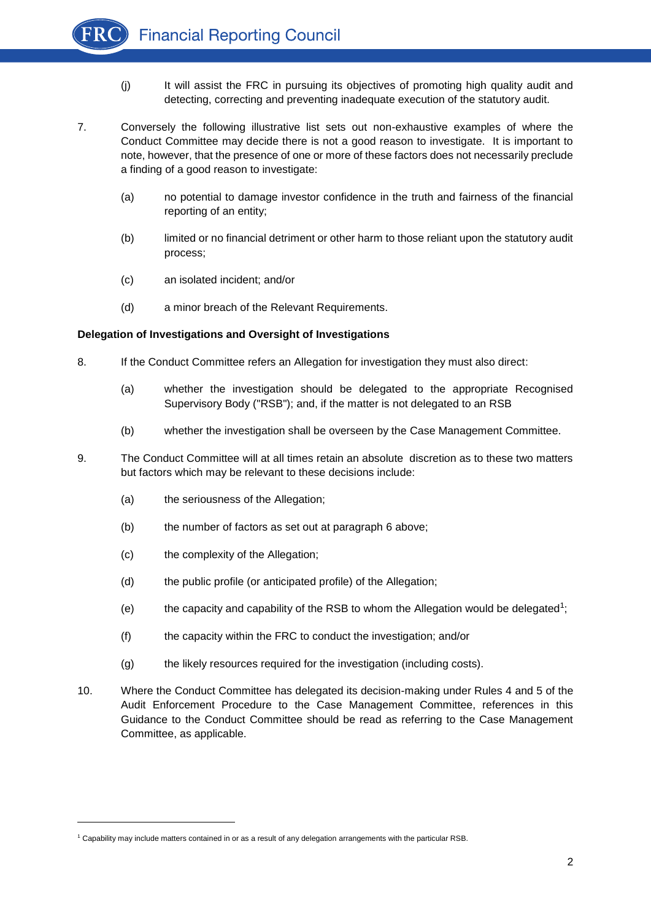

- (j) It will assist the FRC in pursuing its objectives of promoting high quality audit and detecting, correcting and preventing inadequate execution of the statutory audit.
- 7. Conversely the following illustrative list sets out non-exhaustive examples of where the Conduct Committee may decide there is not a good reason to investigate. It is important to note, however, that the presence of one or more of these factors does not necessarily preclude a finding of a good reason to investigate:
	- (a) no potential to damage investor confidence in the truth and fairness of the financial reporting of an entity;
	- (b) limited or no financial detriment or other harm to those reliant upon the statutory audit process;
	- (c) an isolated incident; and/or
	- (d) a minor breach of the Relevant Requirements.

### **Delegation of Investigations and Oversight of Investigations**

- 8. If the Conduct Committee refers an Allegation for investigation they must also direct:
	- (a) whether the investigation should be delegated to the appropriate Recognised Supervisory Body ("RSB"); and, if the matter is not delegated to an RSB
	- (b) whether the investigation shall be overseen by the Case Management Committee.
- 9. The Conduct Committee will at all times retain an absolute discretion as to these two matters but factors which may be relevant to these decisions include:
	- (a) the seriousness of the Allegation;
	- (b) the number of factors as set out at paragraph [6](#page-0-0) above;
	- (c) the complexity of the Allegation;

l

- (d) the public profile (or anticipated profile) of the Allegation;
- (e) the capacity and capability of the RSB to whom the Allegation would be delegated<sup>1</sup>;
- (f) the capacity within the FRC to conduct the investigation; and/or
- (g) the likely resources required for the investigation (including costs).
- 10. Where the Conduct Committee has delegated its decision-making under Rules 4 and 5 of the Audit Enforcement Procedure to the Case Management Committee, references in this Guidance to the Conduct Committee should be read as referring to the Case Management Committee, as applicable.

<sup>1</sup> Capability may include matters contained in or as a result of any delegation arrangements with the particular RSB.